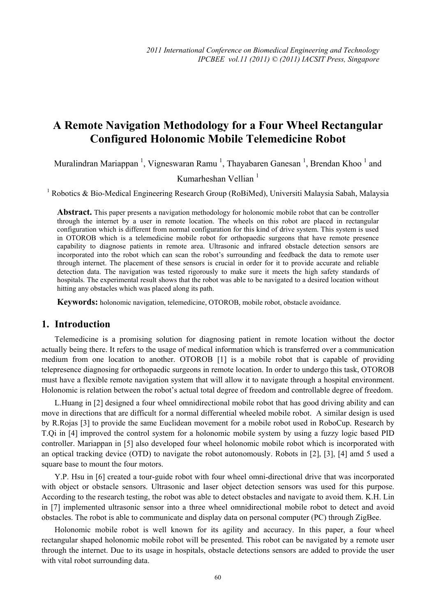# **A Remote Navigation Methodology for a Four Wheel Rectangular Configured Holonomic Mobile Telemedicine Robot**

Muralindran Mariappan<sup>1</sup>, Vigneswaran Ramu<sup>1</sup>, Thayabaren Ganesan<sup>1</sup>, Brendan Khoo<sup>1</sup> and

Kumarheshan Vellian $<sup>1</sup>$ </sup>

<sup>1</sup> Robotics & Bio-Medical Engineering Research Group (RoBiMed), Universiti Malaysia Sabah, Malaysia

**Abstract.** This paper presents a navigation methodology for holonomic mobile robot that can be controller through the internet by a user in remote location. The wheels on this robot are placed in rectangular configuration which is different from normal configuration for this kind of drive system. This system is used in OTOROB which is a telemedicine mobile robot for orthopaedic surgeons that have remote presence capability to diagnose patients in remote area. Ultrasonic and infrared obstacle detection sensors are incorporated into the robot which can scan the robot's surrounding and feedback the data to remote user through internet. The placement of these sensors is crucial in order for it to provide accurate and reliable detection data. The navigation was tested rigorously to make sure it meets the high safety standards of hospitals. The experimental result shows that the robot was able to be navigated to a desired location without hitting any obstacles which was placed along its path.

**Keywords:** holonomic navigation, telemedicine, OTOROB, mobile robot, obstacle avoidance.

## **1. Introduction**

Telemedicine is a promising solution for diagnosing patient in remote location without the doctor actually being there. It refers to the usage of medical information which is transferred over a communication medium from one location to another. OTOROB [1] is a mobile robot that is capable of providing telepresence diagnosing for orthopaedic surgeons in remote location. In order to undergo this task, OTOROB must have a flexible remote navigation system that will allow it to navigate through a hospital environment. Holonomic is relation between the robot's actual total degree of freedom and controllable degree of freedom.

L.Huang in [2] designed a four wheel omnidirectional mobile robot that has good driving ability and can move in directions that are difficult for a normal differential wheeled mobile robot. A similar design is used by R.Rojas [3] to provide the same Euclidean movement for a mobile robot used in RoboCup. Research by T.Qi in [4] improved the control system for a holonomic mobile system by using a fuzzy logic based PID controller. Mariappan in [5] also developed four wheel holonomic mobile robot which is incorporated with an optical tracking device (OTD) to navigate the robot autonomously. Robots in [2], [3], [4] amd 5 used a square base to mount the four motors.

Y.P. Hsu in [6] created a tour-guide robot with four wheel omni-directional drive that was incorporated with object or obstacle sensors. Ultrasonic and laser object detection sensors was used for this purpose. According to the research testing, the robot was able to detect obstacles and navigate to avoid them. K.H. Lin in [7] implemented ultrasonic sensor into a three wheel omnidirectional mobile robot to detect and avoid obstacles. The robot is able to communicate and display data on personal computer (PC) through ZigBee.

Holonomic mobile robot is well known for its agility and accuracy. In this paper, a four wheel rectangular shaped holonomic mobile robot will be presented. This robot can be navigated by a remote user through the internet. Due to its usage in hospitals, obstacle detections sensors are added to provide the user with vital robot surrounding data.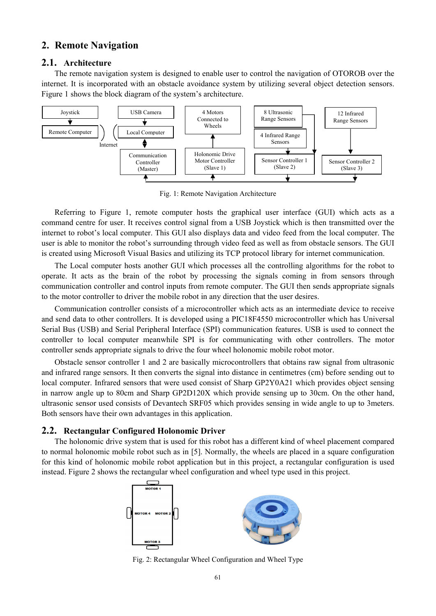## **2. Remote Navigation**

#### **2.1. Architecture**

The remote navigation system is designed to enable user to control the navigation of OTOROB over the internet. It is incorporated with an obstacle avoidance system by utilizing several object detection sensors. Figure 1 shows the block diagram of the system's architecture.



Fig. 1: Remote Navigation Architecture

Referring to Figure 1, remote computer hosts the graphical user interface (GUI) which acts as a command centre for user. It receives control signal from a USB Joystick which is then transmitted over the internet to robot's local computer. This GUI also displays data and video feed from the local computer. The user is able to monitor the robot's surrounding through video feed as well as from obstacle sensors. The GUI is created using Microsoft Visual Basics and utilizing its TCP protocol library for internet communication.

The Local computer hosts another GUI which processes all the controlling algorithms for the robot to operate. It acts as the brain of the robot by processing the signals coming in from sensors through communication controller and control inputs from remote computer. The GUI then sends appropriate signals to the motor controller to driver the mobile robot in any direction that the user desires.

Communication controller consists of a microcontroller which acts as an intermediate device to receive and send data to other controllers. It is developed using a PIC18F4550 microcontroller which has Universal Serial Bus (USB) and Serial Peripheral Interface (SPI) communication features. USB is used to connect the controller to local computer meanwhile SPI is for communicating with other controllers. The motor controller sends appropriate signals to drive the four wheel holonomic mobile robot motor.

Obstacle sensor controller 1 and 2 are basically microcontrollers that obtains raw signal from ultrasonic and infrared range sensors. It then converts the signal into distance in centimetres (cm) before sending out to local computer. Infrared sensors that were used consist of Sharp GP2Y0A21 which provides object sensing in narrow angle up to 80cm and Sharp GP2D120X which provide sensing up to 30cm. On the other hand, ultrasonic sensor used consists of Devantech SRF05 which provides sensing in wide angle to up to 3meters. Both sensors have their own advantages in this application.

#### **2.2. Rectangular Configured Holonomic Driver**

The holonomic drive system that is used for this robot has a different kind of wheel placement compared to normal holonomic mobile robot such as in [5]. Normally, the wheels are placed in a square configuration for this kind of holonomic mobile robot application but in this project, a rectangular configuration is used instead. Figure 2 shows the rectangular wheel configuration and wheel type used in this project.



Fig. 2: Rectangular Wheel Configuration and Wheel Type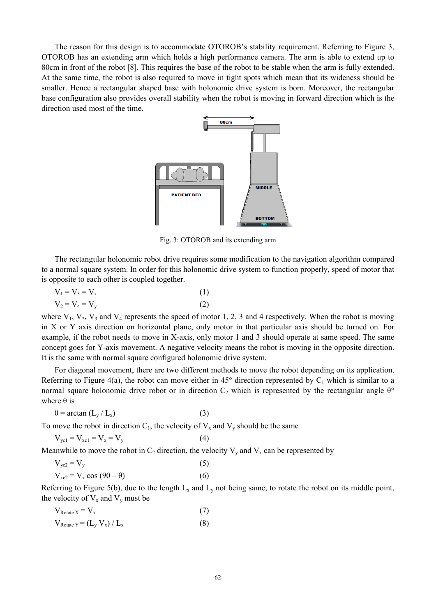The reason for this design is to accommodate OTOROB's stability requirement. Referring to Figure 3, OTOROB has an extending arm which holds a high performance camera. The arm is able to extend up to 80cm in front of the robot [8]. This requires the base of the robot to be stable when the arm is fully extended. At the same time, the robot is also required to move in tight spots which mean that its wideness should be smaller. Hence a rectangular shaped base with holonomic drive system is born. Moreover, the rectangular base configuration also provides overall stability when the robot is moving in forward direction which is the direction used most of the time.



Fig. 3: OTOROB and its extending arm

The rectangular holonomic robot drive requires some modification to the navigation algorithm compared to a normal square system. In order for this holonomic drive system to function properly, speed of motor that is opposite to each other is coupled together.

$$
V_1 = V_3 = V_x
$$
  
\n
$$
V_2 = V_4 = V_y
$$
\n(1)  
\n(2)

where  $V_1$ ,  $V_2$ ,  $V_3$  and  $V_4$  represents the speed of motor 1, 2, 3 and 4 respectively. When the robot is moving in X or Y axis direction on horizontal plane, only motor in that particular axis should be turned on. For example, if the robot needs to move in X-axis, only motor 1 and 3 should operate at same speed. The same concept goes for Y-axis movement. A negative velocity means the robot is moving in the opposite direction. It is the same with normal square configured holonomic drive system.

For diagonal movement, there are two different methods to move the robot depending on its application. Referring to Figure 4(a), the robot can move either in 45 $^{\circ}$  direction represented by C<sub>1</sub> which is similar to a normal square holonomic drive robot or in direction  $C_2$  which is represented by the rectangular angle  $\theta^{\circ}$ where  $\theta$  is

$$
\theta = \arctan (L_y / L_x) \tag{3}
$$

To move the robot in direction  $C_1$ , the velocity of  $V_x$  and  $V_y$  should be the same

$$
V_{\text{ycl}} = V_{\text{xc1}} = V_{\text{x}} = V_{\text{y}} \tag{4}
$$

Meanwhile to move the robot in  $C_2$  direction, the velocity  $V_y$  and  $V_x$  can be represented by

$$
V_{yc2} = V_y
$$
  
\n
$$
V_{xc2} = V_x \cos (90 - \theta)
$$
 (5)

Referring to Figure 5(b), due to the length  $L_x$  and  $L_y$  not being same, to rotate the robot on its middle point, the velocity of  $V_x$  and  $V_y$  must be

$$
V_{\text{Rotate X}} = V_x
$$
\n
$$
V_{\text{Rotate Y}} = (L_y V_x) / L_x
$$
\n(7)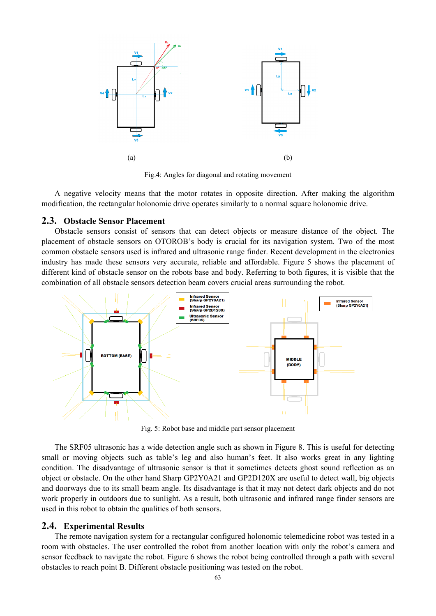

Fig.4: Angles for diagonal and rotating movement

A negative velocity means that the motor rotates in opposite direction. After making the algorithm modification, the rectangular holonomic drive operates similarly to a normal square holonomic drive.

#### **2.3. Obstacle Sensor Placement**

Obstacle sensors consist of sensors that can detect objects or measure distance of the object. The placement of obstacle sensors on OTOROB's body is crucial for its navigation system. Two of the most common obstacle sensors used is infrared and ultrasonic range finder. Recent development in the electronics industry has made these sensors very accurate, reliable and affordable. Figure 5 shows the placement of different kind of obstacle sensor on the robots base and body. Referring to both figures, it is visible that the combination of all obstacle sensors detection beam covers crucial areas surrounding the robot.



Fig. 5: Robot base and middle part sensor placement

The SRF05 ultrasonic has a wide detection angle such as shown in Figure 8. This is useful for detecting small or moving objects such as table's leg and also human's feet. It also works great in any lighting condition. The disadvantage of ultrasonic sensor is that it sometimes detects ghost sound reflection as an object or obstacle. On the other hand Sharp GP2Y0A21 and GP2D120X are useful to detect wall, big objects and doorways due to its small beam angle. Its disadvantage is that it may not detect dark objects and do not work properly in outdoors due to sunlight. As a result, both ultrasonic and infrared range finder sensors are used in this robot to obtain the qualities of both sensors.

#### **2.4. Experimental Results**

The remote navigation system for a rectangular configured holonomic telemedicine robot was tested in a room with obstacles. The user controlled the robot from another location with only the robot's camera and sensor feedback to navigate the robot. Figure 6 shows the robot being controlled through a path with several obstacles to reach point B. Different obstacle positioning was tested on the robot.